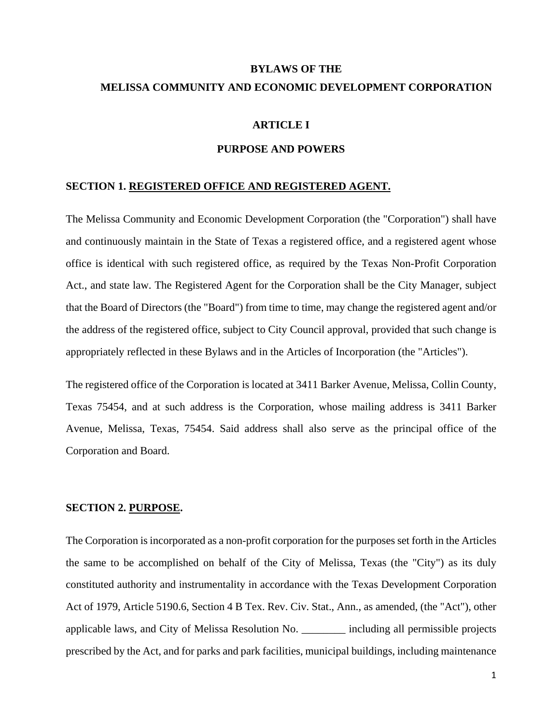# **BYLAWS OF THE MELISSA COMMUNITY AND ECONOMIC DEVELOPMENT CORPORATION**

# **ARTICLE I**

#### **PURPOSE AND POWERS**

#### **SECTION 1. REGISTERED OFFICE AND REGISTERED AGENT.**

The Melissa Community and Economic Development Corporation (the "Corporation") shall have and continuously maintain in the State of Texas a registered office, and a registered agent whose office is identical with such registered office, as required by the Texas Non-Profit Corporation Act., and state law. The Registered Agent for the Corporation shall be the City Manager, subject that the Board of Directors (the "Board") from time to time, may change the registered agent and/or the address of the registered office, subject to City Council approval, provided that such change is appropriately reflected in these Bylaws and in the Articles of Incorporation (the "Articles").

The registered office of the Corporation is located at 3411 Barker Avenue, Melissa, Collin County, Texas 75454, and at such address is the Corporation, whose mailing address is 3411 Barker Avenue, Melissa, Texas, 75454. Said address shall also serve as the principal office of the Corporation and Board.

# **SECTION 2. PURPOSE.**

The Corporation is incorporated as a non-profit corporation for the purposes set forth in the Articles the same to be accomplished on behalf of the City of Melissa, Texas (the "City") as its duly constituted authority and instrumentality in accordance with the Texas Development Corporation Act of 1979, Article 5190.6, Section 4 B Tex. Rev. Civ. Stat., Ann., as amended, (the "Act"), other applicable laws, and City of Melissa Resolution No. \_\_\_\_\_\_\_\_ including all permissible projects prescribed by the Act, and for parks and park facilities, municipal buildings, including maintenance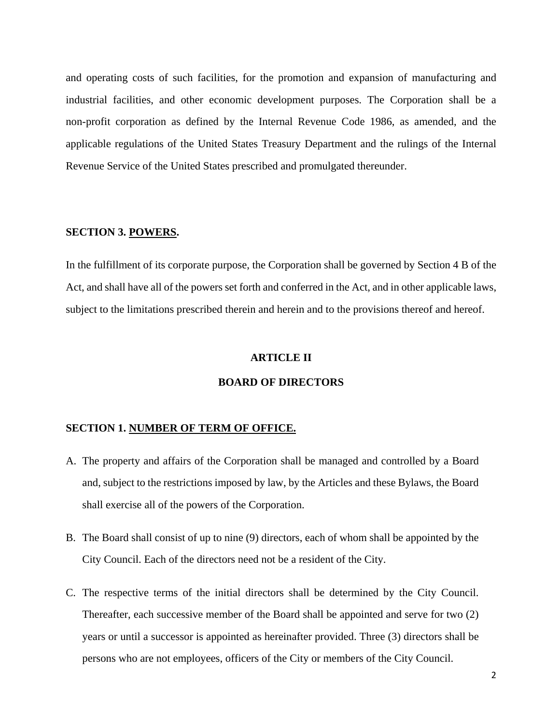and operating costs of such facilities, for the promotion and expansion of manufacturing and industrial facilities, and other economic development purposes. The Corporation shall be a non-profit corporation as defined by the Internal Revenue Code 1986, as amended, and the applicable regulations of the United States Treasury Department and the rulings of the Internal Revenue Service of the United States prescribed and promulgated thereunder.

#### **SECTION 3. POWERS.**

In the fulfillment of its corporate purpose, the Corporation shall be governed by Section 4 B of the Act, and shall have all of the powers set forth and conferred in the Act, and in other applicable laws, subject to the limitations prescribed therein and herein and to the provisions thereof and hereof.

#### **ARTICLE II**

# **BOARD OF DIRECTORS**

#### **SECTION 1. NUMBER OF TERM OF OFFICE.**

- A. The property and affairs of the Corporation shall be managed and controlled by a Board and, subject to the restrictions imposed by law, by the Articles and these Bylaws, the Board shall exercise all of the powers of the Corporation.
- B. The Board shall consist of up to nine (9) directors, each of whom shall be appointed by the City Council. Each of the directors need not be a resident of the City.
- C. The respective terms of the initial directors shall be determined by the City Council. Thereafter, each successive member of the Board shall be appointed and serve for two (2) years or until a successor is appointed as hereinafter provided. Three (3) directors shall be persons who are not employees, officers of the City or members of the City Council.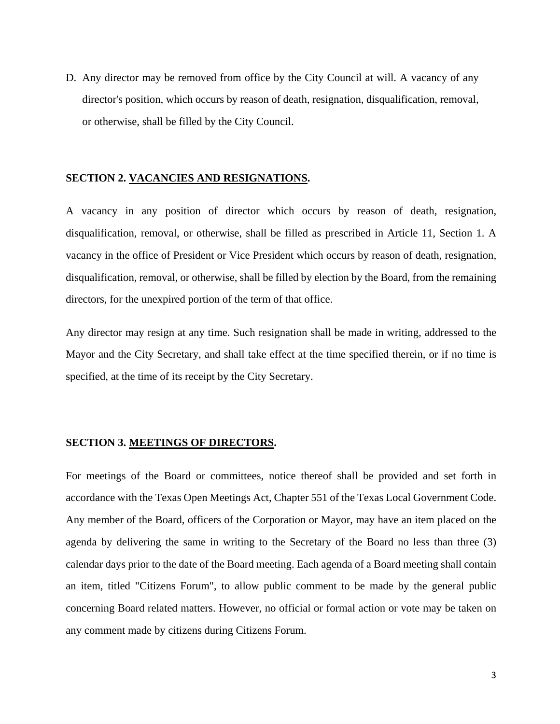D. Any director may be removed from office by the City Council at will. A vacancy of any director's position, which occurs by reason of death, resignation, disqualification, removal, or otherwise, shall be filled by the City Council.

#### **SECTION 2. VACANCIES AND RESIGNATIONS.**

A vacancy in any position of director which occurs by reason of death, resignation, disqualification, removal, or otherwise, shall be filled as prescribed in Article 11, Section 1. A vacancy in the office of President or Vice President which occurs by reason of death, resignation, disqualification, removal, or otherwise, shall be filled by election by the Board, from the remaining directors, for the unexpired portion of the term of that office.

Any director may resign at any time. Such resignation shall be made in writing, addressed to the Mayor and the City Secretary, and shall take effect at the time specified therein, or if no time is specified, at the time of its receipt by the City Secretary.

# **SECTION 3. MEETINGS OF DIRECTORS.**

For meetings of the Board or committees, notice thereof shall be provided and set forth in accordance with the Texas Open Meetings Act, Chapter 551 of the Texas Local Government Code. Any member of the Board, officers of the Corporation or Mayor, may have an item placed on the agenda by delivering the same in writing to the Secretary of the Board no less than three (3) calendar days prior to the date of the Board meeting. Each agenda of a Board meeting shall contain an item, titled "Citizens Forum", to allow public comment to be made by the general public concerning Board related matters. However, no official or formal action or vote may be taken on any comment made by citizens during Citizens Forum.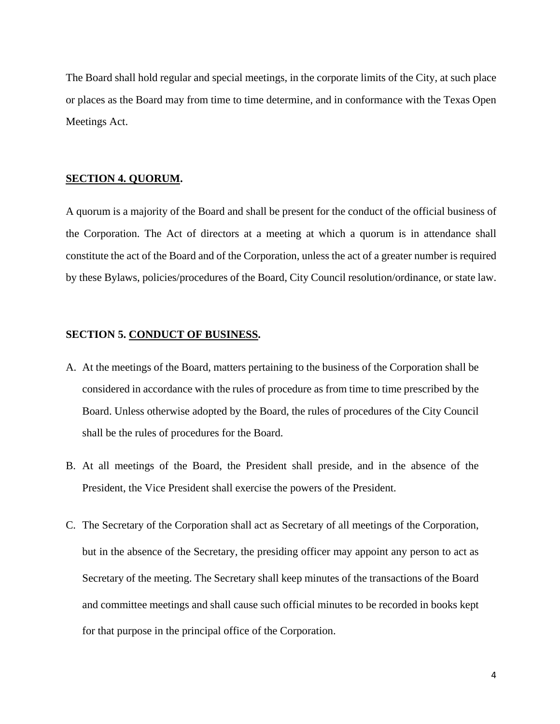The Board shall hold regular and special meetings, in the corporate limits of the City, at such place or places as the Board may from time to time determine, and in conformance with the Texas Open Meetings Act.

#### **SECTION 4. QUORUM.**

A quorum is a majority of the Board and shall be present for the conduct of the official business of the Corporation. The Act of directors at a meeting at which a quorum is in attendance shall constitute the act of the Board and of the Corporation, unless the act of a greater number is required by these Bylaws, policies/procedures of the Board, City Council resolution/ordinance, or state law.

#### **SECTION 5. CONDUCT OF BUSINESS.**

- A. At the meetings of the Board, matters pertaining to the business of the Corporation shall be considered in accordance with the rules of procedure as from time to time prescribed by the Board. Unless otherwise adopted by the Board, the rules of procedures of the City Council shall be the rules of procedures for the Board.
- B. At all meetings of the Board, the President shall preside, and in the absence of the President, the Vice President shall exercise the powers of the President.
- C. The Secretary of the Corporation shall act as Secretary of all meetings of the Corporation, but in the absence of the Secretary, the presiding officer may appoint any person to act as Secretary of the meeting. The Secretary shall keep minutes of the transactions of the Board and committee meetings and shall cause such official minutes to be recorded in books kept for that purpose in the principal office of the Corporation.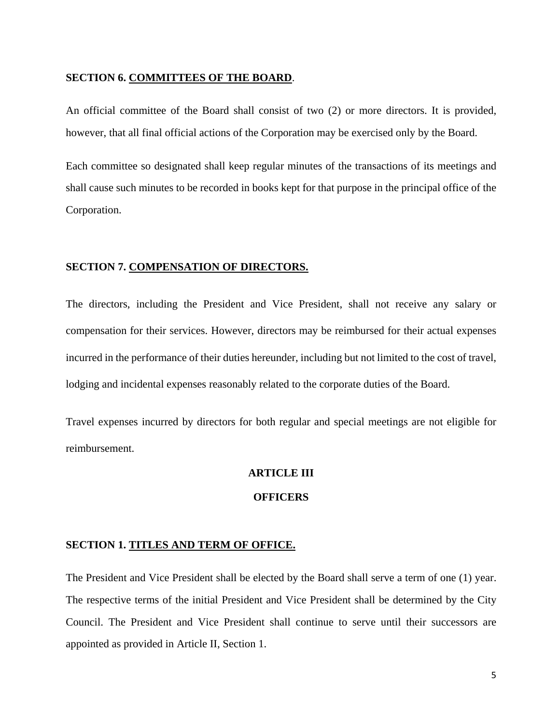#### **SECTION 6. COMMITTEES OF THE BOARD**.

An official committee of the Board shall consist of two (2) or more directors. It is provided, however, that all final official actions of the Corporation may be exercised only by the Board.

Each committee so designated shall keep regular minutes of the transactions of its meetings and shall cause such minutes to be recorded in books kept for that purpose in the principal office of the Corporation.

# **SECTION 7. COMPENSATION OF DIRECTORS.**

The directors, including the President and Vice President, shall not receive any salary or compensation for their services. However, directors may be reimbursed for their actual expenses incurred in the performance of their duties hereunder, including but not limited to the cost of travel, lodging and incidental expenses reasonably related to the corporate duties of the Board.

Travel expenses incurred by directors for both regular and special meetings are not eligible for reimbursement.

# **ARTICLE III**

# **OFFICERS**

### **SECTION 1. TITLES AND TERM OF OFFICE.**

The President and Vice President shall be elected by the Board shall serve a term of one (1) year. The respective terms of the initial President and Vice President shall be determined by the City Council. The President and Vice President shall continue to serve until their successors are appointed as provided in Article II, Section 1.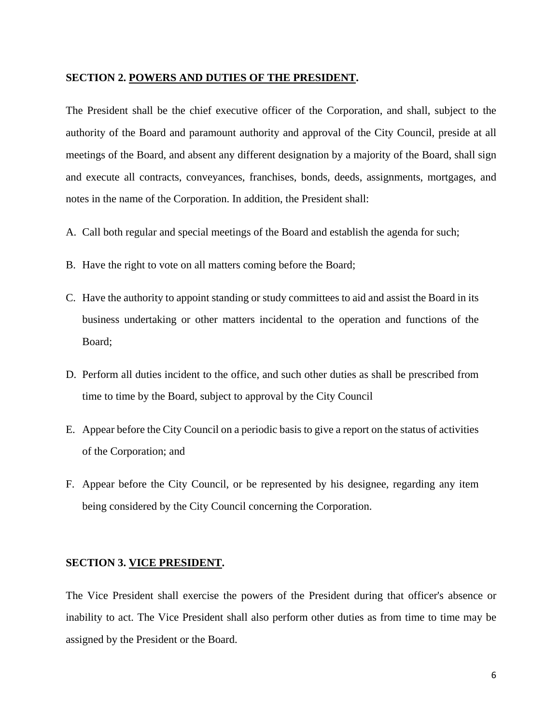#### **SECTION 2. POWERS AND DUTIES OF THE PRESIDENT.**

The President shall be the chief executive officer of the Corporation, and shall, subject to the authority of the Board and paramount authority and approval of the City Council, preside at all meetings of the Board, and absent any different designation by a majority of the Board, shall sign and execute all contracts, conveyances, franchises, bonds, deeds, assignments, mortgages, and notes in the name of the Corporation. In addition, the President shall:

- A. Call both regular and special meetings of the Board and establish the agenda for such;
- B. Have the right to vote on all matters coming before the Board;
- C. Have the authority to appoint standing or study committees to aid and assist the Board in its business undertaking or other matters incidental to the operation and functions of the Board;
- D. Perform all duties incident to the office, and such other duties as shall be prescribed from time to time by the Board, subject to approval by the City Council
- E. Appear before the City Council on a periodic basis to give a report on the status of activities of the Corporation; and
- F. Appear before the City Council, or be represented by his designee, regarding any item being considered by the City Council concerning the Corporation.

# **SECTION 3. VICE PRESIDENT.**

The Vice President shall exercise the powers of the President during that officer's absence or inability to act. The Vice President shall also perform other duties as from time to time may be assigned by the President or the Board.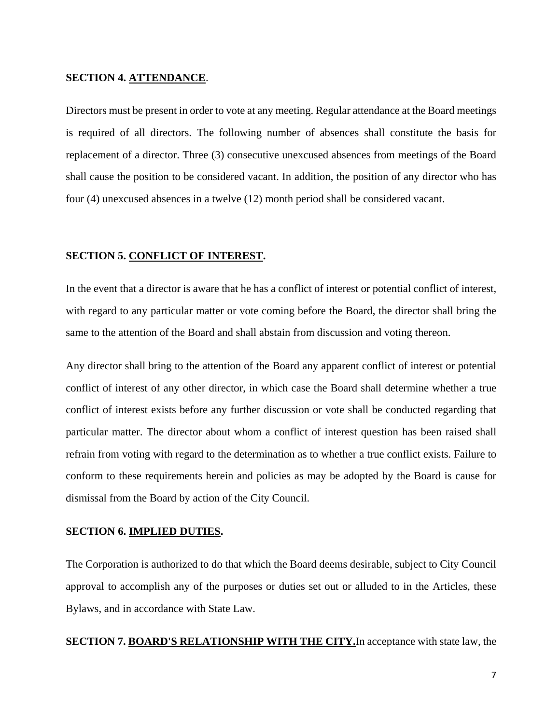# **SECTION 4. ATTENDANCE**.

Directors must be present in order to vote at any meeting. Regular attendance at the Board meetings is required of all directors. The following number of absences shall constitute the basis for replacement of a director. Three (3) consecutive unexcused absences from meetings of the Board shall cause the position to be considered vacant. In addition, the position of any director who has four (4) unexcused absences in a twelve (12) month period shall be considered vacant.

# **SECTION 5. CONFLICT OF INTEREST.**

In the event that a director is aware that he has a conflict of interest or potential conflict of interest, with regard to any particular matter or vote coming before the Board, the director shall bring the same to the attention of the Board and shall abstain from discussion and voting thereon.

Any director shall bring to the attention of the Board any apparent conflict of interest or potential conflict of interest of any other director, in which case the Board shall determine whether a true conflict of interest exists before any further discussion or vote shall be conducted regarding that particular matter. The director about whom a conflict of interest question has been raised shall refrain from voting with regard to the determination as to whether a true conflict exists. Failure to conform to these requirements herein and policies as may be adopted by the Board is cause for dismissal from the Board by action of the City Council.

#### **SECTION 6. IMPLIED DUTIES.**

The Corporation is authorized to do that which the Board deems desirable, subject to City Council approval to accomplish any of the purposes or duties set out or alluded to in the Articles, these Bylaws, and in accordance with State Law.

**SECTION 7. BOARD'S RELATIONSHIP WITH THE CITY.**In acceptance with state law, the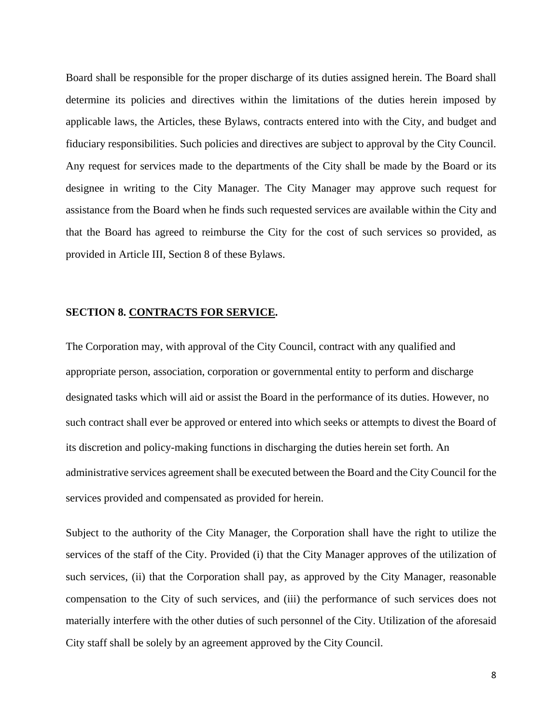Board shall be responsible for the proper discharge of its duties assigned herein. The Board shall determine its policies and directives within the limitations of the duties herein imposed by applicable laws, the Articles, these Bylaws, contracts entered into with the City, and budget and fiduciary responsibilities. Such policies and directives are subject to approval by the City Council. Any request for services made to the departments of the City shall be made by the Board or its designee in writing to the City Manager. The City Manager may approve such request for assistance from the Board when he finds such requested services are available within the City and that the Board has agreed to reimburse the City for the cost of such services so provided, as provided in Article III, Section 8 of these Bylaws.

#### **SECTION 8. CONTRACTS FOR SERVICE.**

The Corporation may, with approval of the City Council, contract with any qualified and appropriate person, association, corporation or governmental entity to perform and discharge designated tasks which will aid or assist the Board in the performance of its duties. However, no such contract shall ever be approved or entered into which seeks or attempts to divest the Board of its discretion and policy-making functions in discharging the duties herein set forth. An administrative services agreement shall be executed between the Board and the City Council for the services provided and compensated as provided for herein.

Subject to the authority of the City Manager, the Corporation shall have the right to utilize the services of the staff of the City. Provided (i) that the City Manager approves of the utilization of such services, (ii) that the Corporation shall pay, as approved by the City Manager, reasonable compensation to the City of such services, and (iii) the performance of such services does not materially interfere with the other duties of such personnel of the City. Utilization of the aforesaid City staff shall be solely by an agreement approved by the City Council.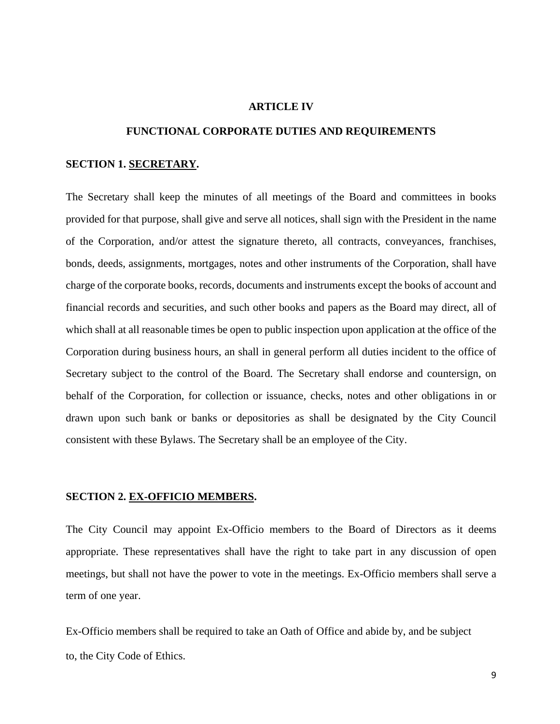#### **ARTICLE IV**

#### **FUNCTIONAL CORPORATE DUTIES AND REQUIREMENTS**

#### **SECTION 1. SECRETARY.**

The Secretary shall keep the minutes of all meetings of the Board and committees in books provided for that purpose, shall give and serve all notices, shall sign with the President in the name of the Corporation, and/or attest the signature thereto, all contracts, conveyances, franchises, bonds, deeds, assignments, mortgages, notes and other instruments of the Corporation, shall have charge of the corporate books, records, documents and instruments except the books of account and financial records and securities, and such other books and papers as the Board may direct, all of which shall at all reasonable times be open to public inspection upon application at the office of the Corporation during business hours, an shall in general perform all duties incident to the office of Secretary subject to the control of the Board. The Secretary shall endorse and countersign, on behalf of the Corporation, for collection or issuance, checks, notes and other obligations in or drawn upon such bank or banks or depositories as shall be designated by the City Council consistent with these Bylaws. The Secretary shall be an employee of the City.

#### **SECTION 2. EX-OFFICIO MEMBERS.**

The City Council may appoint Ex-Officio members to the Board of Directors as it deems appropriate. These representatives shall have the right to take part in any discussion of open meetings, but shall not have the power to vote in the meetings. Ex-Officio members shall serve a term of one year.

Ex-Officio members shall be required to take an Oath of Office and abide by, and be subject to, the City Code of Ethics.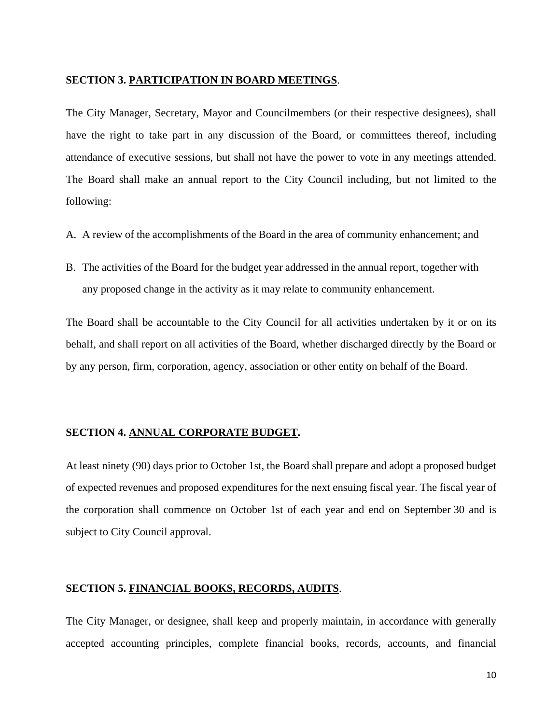#### **SECTION 3. PARTICIPATION IN BOARD MEETINGS**.

The City Manager, Secretary, Mayor and Councilmembers (or their respective designees), shall have the right to take part in any discussion of the Board, or committees thereof, including attendance of executive sessions, but shall not have the power to vote in any meetings attended. The Board shall make an annual report to the City Council including, but not limited to the following:

- A. A review of the accomplishments of the Board in the area of community enhancement; and
- B. The activities of the Board for the budget year addressed in the annual report, together with any proposed change in the activity as it may relate to community enhancement.

The Board shall be accountable to the City Council for all activities undertaken by it or on its behalf, and shall report on all activities of the Board, whether discharged directly by the Board or by any person, firm, corporation, agency, association or other entity on behalf of the Board.

#### **SECTION 4. ANNUAL CORPORATE BUDGET.**

At least ninety (90) days prior to October 1st, the Board shall prepare and adopt a proposed budget of expected revenues and proposed expenditures for the next ensuing fiscal year. The fiscal year of the corporation shall commence on October 1st of each year and end on September 30 and is subject to City Council approval.

#### **SECTION 5. FINANCIAL BOOKS, RECORDS, AUDITS**.

The City Manager, or designee, shall keep and properly maintain, in accordance with generally accepted accounting principles, complete financial books, records, accounts, and financial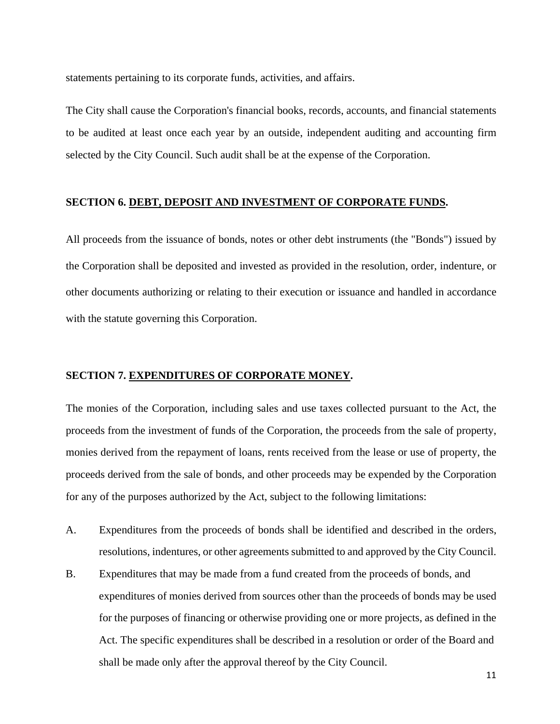statements pertaining to its corporate funds, activities, and affairs.

The City shall cause the Corporation's financial books, records, accounts, and financial statements to be audited at least once each year by an outside, independent auditing and accounting firm selected by the City Council. Such audit shall be at the expense of the Corporation.

#### **SECTION 6. DEBT, DEPOSIT AND INVESTMENT OF CORPORATE FUNDS.**

All proceeds from the issuance of bonds, notes or other debt instruments (the "Bonds") issued by the Corporation shall be deposited and invested as provided in the resolution, order, indenture, or other documents authorizing or relating to their execution or issuance and handled in accordance with the statute governing this Corporation.

#### **SECTION 7. EXPENDITURES OF CORPORATE MONEY.**

The monies of the Corporation, including sales and use taxes collected pursuant to the Act, the proceeds from the investment of funds of the Corporation, the proceeds from the sale of property, monies derived from the repayment of loans, rents received from the lease or use of property, the proceeds derived from the sale of bonds, and other proceeds may be expended by the Corporation for any of the purposes authorized by the Act, subject to the following limitations:

- A. Expenditures from the proceeds of bonds shall be identified and described in the orders, resolutions, indentures, or other agreements submitted to and approved by the City Council.
- B. Expenditures that may be made from a fund created from the proceeds of bonds, and expenditures of monies derived from sources other than the proceeds of bonds may be used for the purposes of financing or otherwise providing one or more projects, as defined in the Act. The specific expenditures shall be described in a resolution or order of the Board and shall be made only after the approval thereof by the City Council.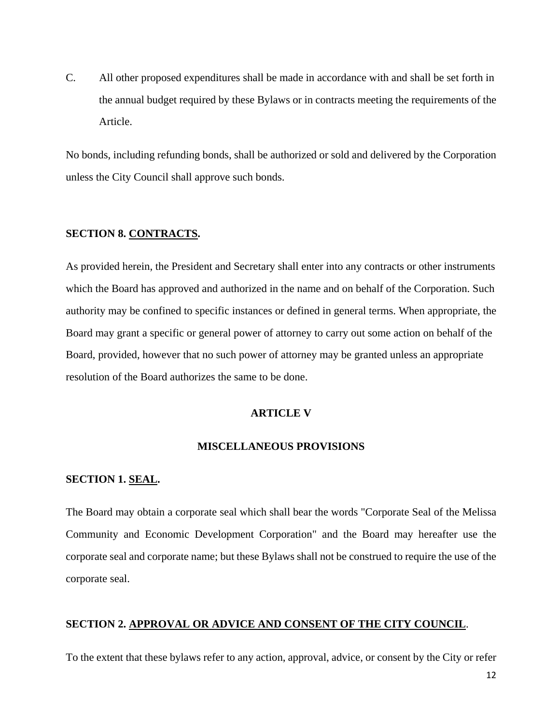C. All other proposed expenditures shall be made in accordance with and shall be set forth in the annual budget required by these Bylaws or in contracts meeting the requirements of the Article.

No bonds, including refunding bonds, shall be authorized or sold and delivered by the Corporation unless the City Council shall approve such bonds.

# **SECTION 8. CONTRACTS.**

As provided herein, the President and Secretary shall enter into any contracts or other instruments which the Board has approved and authorized in the name and on behalf of the Corporation. Such authority may be confined to specific instances or defined in general terms. When appropriate, the Board may grant a specific or general power of attorney to carry out some action on behalf of the Board, provided, however that no such power of attorney may be granted unless an appropriate resolution of the Board authorizes the same to be done.

# **ARTICLE V**

#### **MISCELLANEOUS PROVISIONS**

# **SECTION 1. SEAL.**

The Board may obtain a corporate seal which shall bear the words "Corporate Seal of the Melissa Community and Economic Development Corporation" and the Board may hereafter use the corporate seal and corporate name; but these Bylaws shall not be construed to require the use of the corporate seal.

# **SECTION 2. APPROVAL OR ADVICE AND CONSENT OF THE CITY COUNCIL**.

To the extent that these bylaws refer to any action, approval, advice, or consent by the City or refer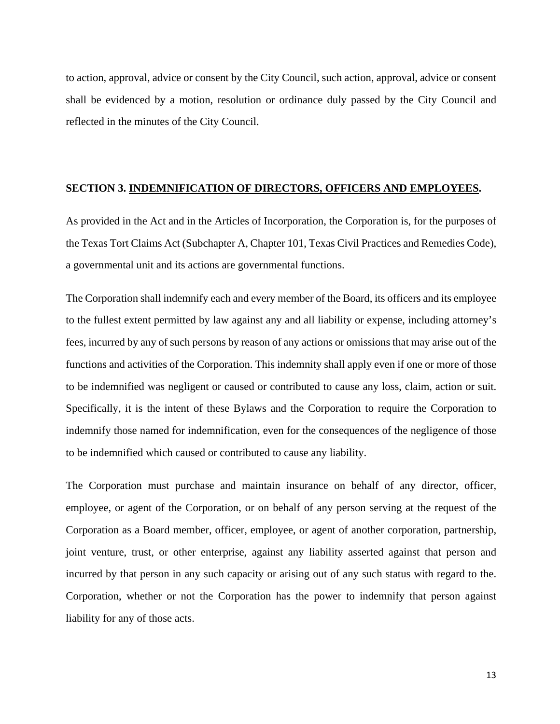to action, approval, advice or consent by the City Council, such action, approval, advice or consent shall be evidenced by a motion, resolution or ordinance duly passed by the City Council and reflected in the minutes of the City Council.

# **SECTION 3. INDEMNIFICATION OF DIRECTORS, OFFICERS AND EMPLOYEES.**

As provided in the Act and in the Articles of Incorporation, the Corporation is, for the purposes of the Texas Tort Claims Act (Subchapter A, Chapter 101, Texas Civil Practices and Remedies Code), a governmental unit and its actions are governmental functions.

The Corporation shall indemnify each and every member of the Board, its officers and its employee to the fullest extent permitted by law against any and all liability or expense, including attorney's fees, incurred by any of such persons by reason of any actions or omissions that may arise out of the functions and activities of the Corporation. This indemnity shall apply even if one or more of those to be indemnified was negligent or caused or contributed to cause any loss, claim, action or suit. Specifically, it is the intent of these Bylaws and the Corporation to require the Corporation to indemnify those named for indemnification, even for the consequences of the negligence of those to be indemnified which caused or contributed to cause any liability.

The Corporation must purchase and maintain insurance on behalf of any director, officer, employee, or agent of the Corporation, or on behalf of any person serving at the request of the Corporation as a Board member, officer, employee, or agent of another corporation, partnership, joint venture, trust, or other enterprise, against any liability asserted against that person and incurred by that person in any such capacity or arising out of any such status with regard to the. Corporation, whether or not the Corporation has the power to indemnify that person against liability for any of those acts.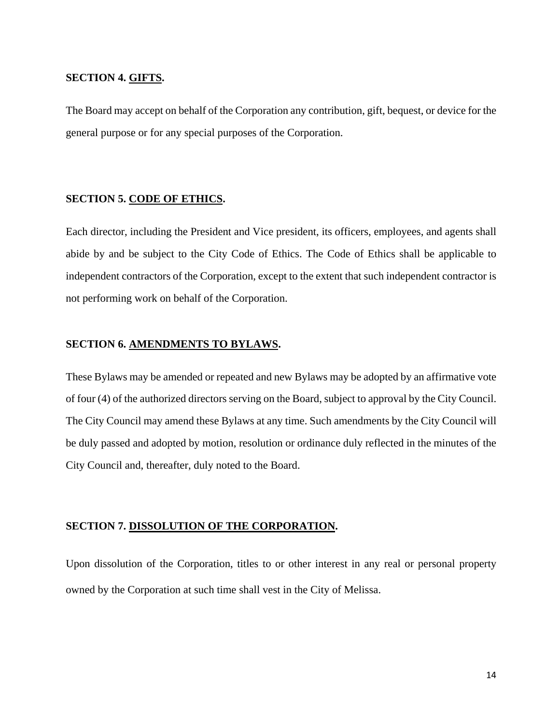# **SECTION 4. GIFTS.**

The Board may accept on behalf of the Corporation any contribution, gift, bequest, or device for the general purpose or for any special purposes of the Corporation.

# **SECTION 5. CODE OF ETHICS.**

Each director, including the President and Vice president, its officers, employees, and agents shall abide by and be subject to the City Code of Ethics. The Code of Ethics shall be applicable to independent contractors of the Corporation, except to the extent that such independent contractor is not performing work on behalf of the Corporation.

# **SECTION 6. AMENDMENTS TO BYLAWS.**

These Bylaws may be amended or repeated and new Bylaws may be adopted by an affirmative vote of four (4) of the authorized directors serving on the Board, subject to approval by the City Council. The City Council may amend these Bylaws at any time. Such amendments by the City Council will be duly passed and adopted by motion, resolution or ordinance duly reflected in the minutes of the City Council and, thereafter, duly noted to the Board.

#### **SECTION 7. DISSOLUTION OF THE CORPORATION.**

Upon dissolution of the Corporation, titles to or other interest in any real or personal property owned by the Corporation at such time shall vest in the City of Melissa.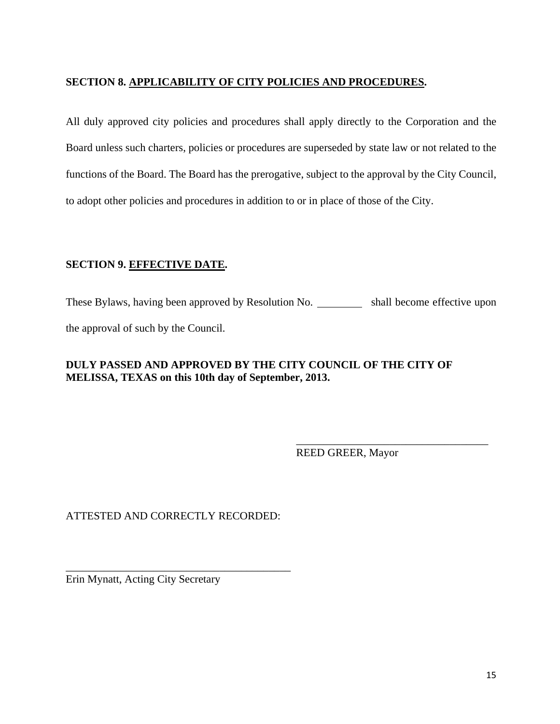# **SECTION 8. APPLICABILITY OF CITY POLICIES AND PROCEDURES.**

All duly approved city policies and procedures shall apply directly to the Corporation and the Board unless such charters, policies or procedures are superseded by state law or not related to the functions of the Board. The Board has the prerogative, subject to the approval by the City Council, to adopt other policies and procedures in addition to or in place of those of the City.

# **SECTION 9. EFFECTIVE DATE.**

These Bylaws, having been approved by Resolution No. \_\_\_\_\_\_\_\_\_\_\_ shall become effective upon

 $\overline{\phantom{a}}$  , which is a set of the set of the set of the set of the set of the set of the set of the set of the set of the set of the set of the set of the set of the set of the set of the set of the set of the set of th

the approval of such by the Council.

# **DULY PASSED AND APPROVED BY THE CITY COUNCIL OF THE CITY OF MELISSA, TEXAS on this 10th day of September, 2013.**

REED GREER, Mayor

ATTESTED AND CORRECTLY RECORDED:

\_\_\_\_\_\_\_\_\_\_\_\_\_\_\_\_\_\_\_\_\_\_\_\_\_\_\_\_\_\_\_\_\_\_\_\_\_\_\_\_\_

Erin Mynatt, Acting City Secretary